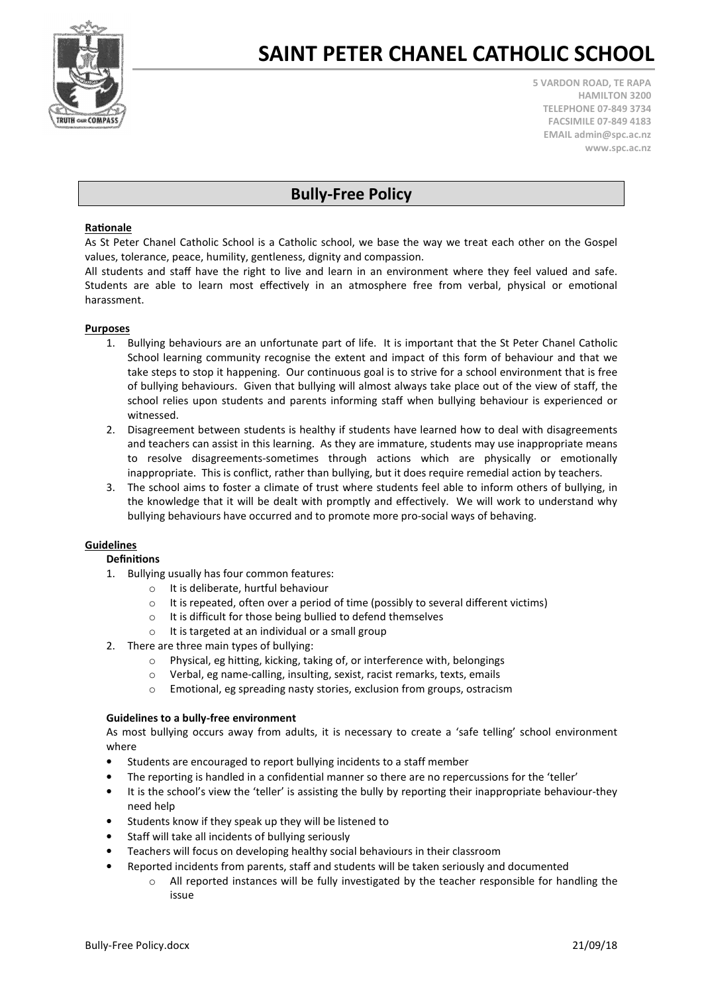

## SAINT PETER CHANEL CATHOLIC SCHOOL

5 VARDON ROAD, TE RAPA HAMILTON 3200 TELEPHONE 07-849 3734 FACSIMILE 07-849 4183 EMAIL admin@spc.ac.nz www.spc.ac.nz

### Bully-Free Policy

#### Rationale

As St Peter Chanel Catholic School is a Catholic school, we base the way we treat each other on the Gospel values, tolerance, peace, humility, gentleness, dignity and compassion.

All students and staff have the right to live and learn in an environment where they feel valued and safe. Students are able to learn most effectively in an atmosphere free from verbal, physical or emotional harassment.

#### **Purposes**

- 1. Bullying behaviours are an unfortunate part of life. It is important that the St Peter Chanel Catholic School learning community recognise the extent and impact of this form of behaviour and that we take steps to stop it happening. Our continuous goal is to strive for a school environment that is free of bullying behaviours. Given that bullying will almost always take place out of the view of staff, the school relies upon students and parents informing staff when bullying behaviour is experienced or witnessed.
- 2. Disagreement between students is healthy if students have learned how to deal with disagreements and teachers can assist in this learning. As they are immature, students may use inappropriate means to resolve disagreements-sometimes through actions which are physically or emotionally inappropriate. This is conflict, rather than bullying, but it does require remedial action by teachers.
- 3. The school aims to foster a climate of trust where students feel able to inform others of bullying, in the knowledge that it will be dealt with promptly and effectively. We will work to understand why bullying behaviours have occurred and to promote more pro-social ways of behaving.

#### **Guidelines**

#### Definitions

- 1. Bullying usually has four common features:
	- o It is deliberate, hurtful behaviour
		- $\circ$  It is repeated, often over a period of time (possibly to several different victims)
		- o It is difficult for those being bullied to defend themselves
		- o It is targeted at an individual or a small group
- 2. There are three main types of bullying:
	- o Physical, eg hitting, kicking, taking of, or interference with, belongings
	- o Verbal, eg name-calling, insulting, sexist, racist remarks, texts, emails
	- o Emotional, eg spreading nasty stories, exclusion from groups, ostracism

#### Guidelines to a bully-free environment

As most bullying occurs away from adults, it is necessary to create a 'safe telling' school environment where

- Students are encouraged to report bullying incidents to a staff member
- The reporting is handled in a confidential manner so there are no repercussions for the 'teller'
- It is the school's view the 'teller' is assisting the bully by reporting their inappropriate behaviour-they need help
- Students know if they speak up they will be listened to
- Staff will take all incidents of bullying seriously
- Teachers will focus on developing healthy social behaviours in their classroom
- Reported incidents from parents, staff and students will be taken seriously and documented
	- All reported instances will be fully investigated by the teacher responsible for handling the issue